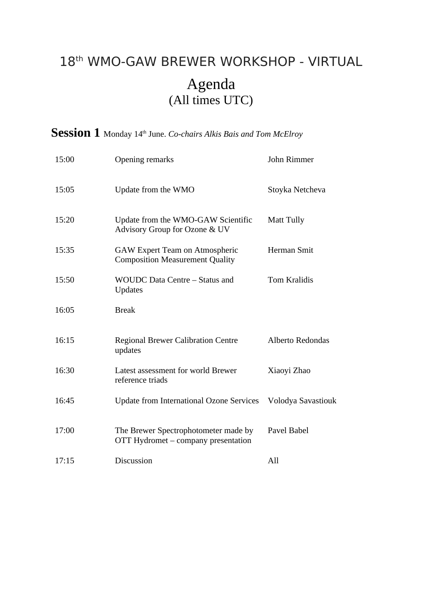## 18th WMO-GAW BREWER WORKSHOP - VIRTUAL Agenda (All times UTC)

## Session 1 Monday 14<sup>th</sup> June. *Co-chairs Alkis Bais and Tom McElroy*

| 15:00 | Opening remarks                                                             | John Rimmer             |
|-------|-----------------------------------------------------------------------------|-------------------------|
| 15:05 | Update from the WMO                                                         | Stoyka Netcheva         |
| 15:20 | Update from the WMO-GAW Scientific<br>Advisory Group for Ozone & UV         | Matt Tully              |
| 15:35 | GAW Expert Team on Atmospheric<br><b>Composition Measurement Quality</b>    | Herman Smit             |
| 15:50 | WOUDC Data Centre - Status and<br><b>Updates</b>                            | <b>Tom Kralidis</b>     |
| 16:05 | <b>Break</b>                                                                |                         |
| 16:15 | <b>Regional Brewer Calibration Centre</b><br>updates                        | <b>Alberto Redondas</b> |
| 16:30 | Latest assessment for world Brewer<br>reference triads                      | Xiaoyi Zhao             |
| 16:45 | <b>Update from International Ozone Services</b>                             | Volodya Savastiouk      |
| 17:00 | The Brewer Spectrophotometer made by<br>OTT Hydromet - company presentation | Pavel Babel             |
| 17:15 | Discussion                                                                  | All                     |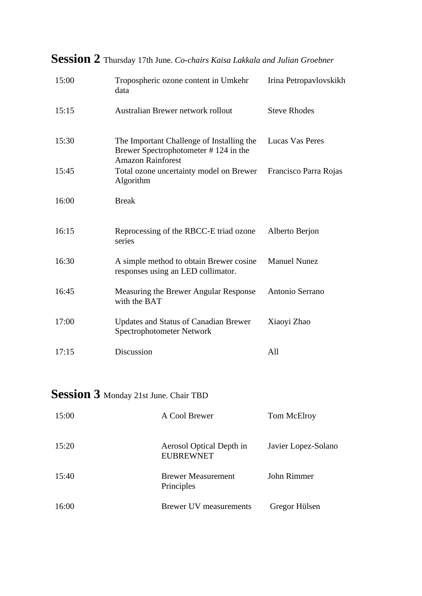| 15:00 | Tropospheric ozone content in Umkehr<br>data                                                                  | Irina Petropavlovskikh |
|-------|---------------------------------------------------------------------------------------------------------------|------------------------|
| 15:15 | Australian Brewer network rollout                                                                             | <b>Steve Rhodes</b>    |
| 15:30 | The Important Challenge of Installing the<br>Brewer Spectrophotometer #124 in the<br><b>Amazon Rainforest</b> | Lucas Vas Peres        |
| 15:45 | Total ozone uncertainty model on Brewer<br>Algorithm                                                          | Francisco Parra Rojas  |
| 16:00 | <b>Break</b>                                                                                                  |                        |
| 16:15 | Reprocessing of the RBCC-E triad ozone<br>series                                                              | Alberto Berjon         |
| 16:30 | A simple method to obtain Brewer cosine<br>responses using an LED collimator.                                 | <b>Manuel Nunez</b>    |
| 16:45 | Measuring the Brewer Angular Response<br>with the BAT                                                         | Antonio Serrano        |
| 17:00 | <b>Updates and Status of Canadian Brewer</b><br>Spectrophotometer Network                                     | Xiaoyi Zhao            |
| 17:15 | Discussion                                                                                                    | All                    |

## **Session 2** Thursday 17th June. *Co-chairs Kaisa Lakkala and Julian Groebner*

## **Session 3** Monday 21st June. Chair TBD

| 15:00 | A Cool Brewer                                | Tom McElroy         |
|-------|----------------------------------------------|---------------------|
| 15:20 | Aerosol Optical Depth in<br><b>EUBREWNET</b> | Javier Lopez-Solano |
| 15:40 | <b>Brewer Measurement</b><br>Principles      | John Rimmer         |
| 16:00 | Brewer UV measurements                       | Gregor Hülsen       |